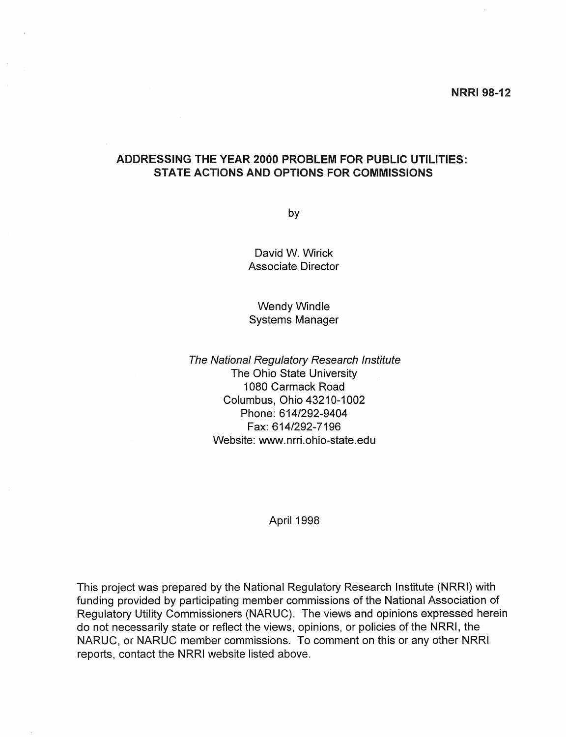## ADDRESSING THE YEAR 2000 PROBLEM FOR PUBLIC UTILITIES: STATE ACTIONS AND OPTIONS FOR COMMISSIONS

by

David W. Wirick Associate Director

Wendy Windle Systems Manager

The National Regulatory Research Institute The Ohio State University 1080 Carmack Road Columbus, Ohio 43210-1002 Phone: 614/292-9404 Fax: 614/292-7196 Website: www.nrri.ohio-state.edu

April 1998

This project was prepared by the National Regulatory Research Institute (NRRI) with funding provided by participating member commissions of the National Association of Regulatory Utility Commissioners (NARUC). The views and opinions expressed herein do not necessarily state or reflect the views, opinions, or policies of the NRRI, the NARUC, or NARUC member commissions. To comment on this or any other NRRI reports, contact the NRRI website listed above.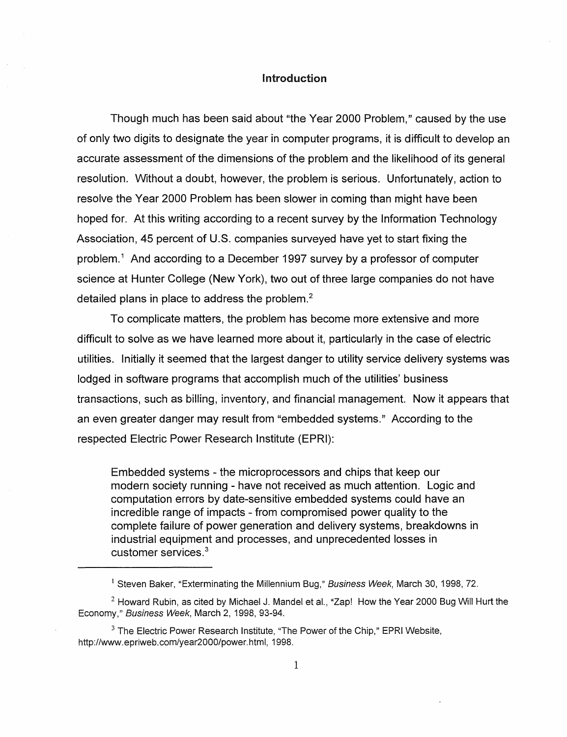## Introduction

Though much has been said about "the Year 2000 Problem," caused by the use of only two digits to designate the year in computer programs, it is difficult to develop an accurate assessment of the dimensions of the problem and the likelihood of its general resolution. Without a doubt, however, the problem is serious. Unfortunately, action to resolve the Year 2000 Problem has been slower in coming than might have been hoped for. At this writing according to a recent survey by the Information Technology Association, 45 percent of U.S. companies surveyed have yet to start fixing the problem.<sup>1</sup> And according to a December 1997 survey by a professor of computer science at Hunter College (New York), two out of three large companies do not have detailed plans in place to address the problem.<sup>2</sup>

To complicate matters, the problem has become more extensive and more difficult to solve as we have learned more about it, particularly in the case of electric utilities. Initially it seemed that the largest danger to utility service delivery systems was lodged in software programs that accomplish much of the utilities' business transactions, such as billing, inventory, and financial management. Now it appears that an even greater danger may result from "embedded systems." According to the respected Electric Power Research Institute (EPRI):

Embedded systems - the microprocessors and chips that keep our modern society running - have not received as much attention. Logic and computation errors by date-sensitive embedded systems could have an incredible range of impacts - from compromised power quality to the complete failure of power generation and delivery systems, breakdowns in industrial equipment and processes, and unprecedented losses in customer services. <sup>3</sup>

 $1$  Steven Baker, "Exterminating the Millennium Bug," Business Week, March 30, 1998, 72.

 $2$  Howard Rubin, as cited by Michael J. Mandel et al., "Zap! How the Year 2000 Bug Will Hurt the Economy," Business Week, March 2, 1998, 93-94.

 $3$  The Electric Power Research Institute, "The Power of the Chip," EPRI Website, http://www.epriweb.com/year2000/power.html. 1998.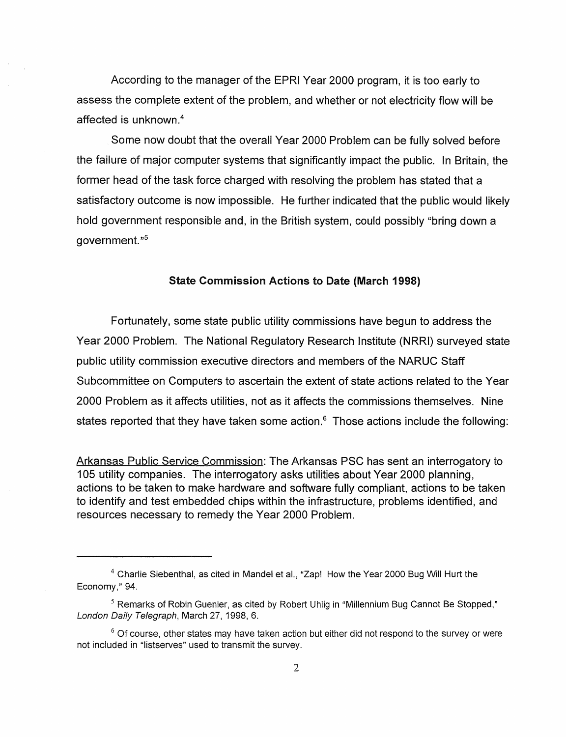According to the manager of the EPRI Year 2000 program, it is too early to assess the complete extent of the problem, and whether or not electricity flow will be affected is unknown.4

Some now doubt that the overall Year 2000 Problem can be fully solved before the failure of major computer systems that significantly impact the public. In Britain, the former head of the task force charged with resolving the problem has stated that a satisfactory outcome is now impossible. He further indicated that the public would likely hold government responsible and, in the British system, could possibly "bring down a government."<sup>5</sup>

## State Commission Actions to Date (March 1998)

Fortunately, some state public utility commissions have begun to address the Year 2000 Problem. The National Regulatory Research Institute (NRRI) surveyed state public utility commission executive directors and members of the NARUC Staff Subcommittee on Computers to ascertain the extent of state actions related to the Year 2000 Problem as it affects utilities, not as it affects the commissions themselves. Nine states reported that they have taken some action.<sup>6</sup> Those actions include the following:

Arkansas Public Service Commission: The Arkansas PSC has sent an interrogatory to 105 utility companies. The interrogatory asks utilities about Year 2000 planning, actions to be taken to make hardware and software fully compliant, actions to be taken to identify and test embedded chips within the infrastructure, problems identified, and resources necessary to remedy the Year 2000 Problem.

<sup>4</sup> Charlie Siebenthal, as cited in Mandel et aI., "Zap! How the Year 2000 Bug Will Hurt the Economy," 94.

 $<sup>5</sup>$  Remarks of Robin Guenier, as cited by Robert Uhlig in "Millennium Bug Cannot Be Stopped,"</sup> London Daily Telegraph, March 27, 1998, 6.

 $6$  Of course, other states may have taken action but either did not respond to the survey or were not included in "Iistserves" used to transmit the survey.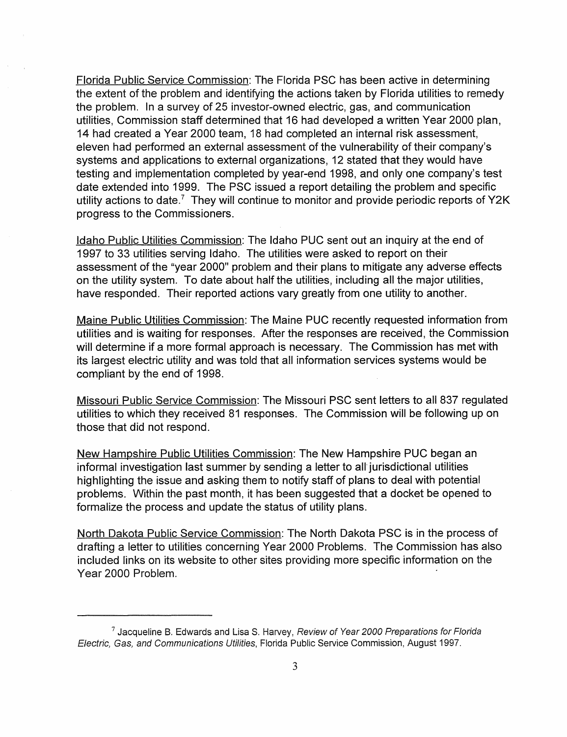Florida Public Service Commission: The Florida PSC has been active in determining the extent of the problem and identifying the actions taken by Florida utilities to remedy the problem. In a survey of 25 investor-owned electric, gas, and communication utilities, Commission staff determined that 16 had developed a written Year 2000 plan, 14 had created a Year 2000 team, 18 had completed an internal risk assessment, eleven had performed an external assessment of the vulnerability of their company's systems and applications to external organizations, 12 stated that they would have testing and implementation completed by year-end 1998, and only one company's test date extended into 1999. The PSC issued a report detailing the problem and specific utility actions to date.<sup>7</sup> They will continue to monitor and provide periodic reports of Y2K progress to the Commissioners.

Idaho Public Utilities Commission: The Idaho PUC sent out an inquiry at the end of 1997 to 33 utilities serving Idaho. The utilities were asked to report on their assessment of the "year 2000" problem and their plans to mitigate any adverse effects on the utility system. To date about half the utilities, including all the major utilities, have responded. Their reported actions vary greatly from one utility to another.

Maine Public Utilities Commission: The Maine PUC recently requested information from utilities and is waiting for responses. After the responses are received, the Commission will determine if a more formal approach is necessary. The Commission has met with its largest electric utility and was told that all information services systems would be compliant by the end of 1998.

Missouri Public Service Commission: The Missouri PSC sent letters to all 837 regulated utilities to which they received 81 responses. The Commission will be following up on those that did not respond.

New Hampshire Public Utilities Commission: The New Hampshire PUC began an informal investigation last summer by sending a letter to all'jurisdictional utilities highlighting the issue and asking them to notify staff of plans to deal with potential problems. Within the past month, it has been suggested that a docket be opened to formalize the process and update the status of utility plans.

North Dakota Public Service Commission: The North Dakota PSC is in the process of drafting a letter to utilities concerning Year 2000 Problems. The Commission has also included links on its website to other sites providing more specific information on the Year 2000 Problem.

 $<sup>7</sup>$  Jacqueline B. Edwards and Lisa S. Harvey, Review of Year 2000 Preparations for Florida</sup> Electric, Gas, and Communications Utilities, Florida Public Service Commission, August 1997.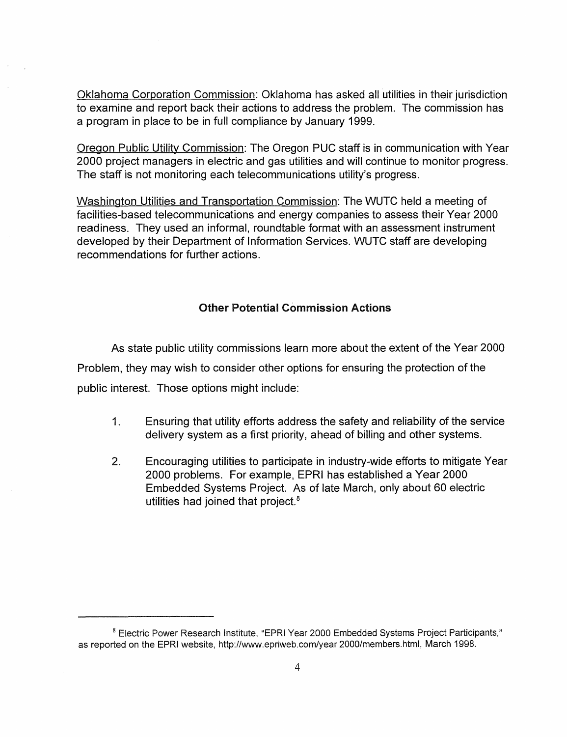Oklahoma Corporation Commission: Oklahoma has asked all utilities in their jurisdiction to examine and report back their actions to address the problem. The commission has a program in place to be in full compliance by January 1999.

Oregon Public Utility Commission: The Oregon PUC staff is in communication with Year 2000 project managers in electric and gas utilities and will continue to monitor progress. The staff is not monitoring each telecommunications utility's progress.

Washington Utilities and Transportation Commission: The WUTC held a meeting of facilities-based telecommunications and energy companies to assess their Year 2000 readiness. They used an informal, roundtable format with an assessment instrument developed by their Department of Information Services. WUTC staff are developing recommendations for further actions.

## Other Potential Commission Actions

As state public utility commissions learn more about the extent of the Year 2000 Problem, they may wish to consider other options for ensuring the protection of the public interest. Those options might include:

- 1. Ensuring that utility efforts address the safety and reliability of the service delivery system as a first priority, ahead of billing and other systems.
- 2. Encouraging utilities to participate in industry-wide efforts to mitigate Year 2000 problems. For example, EPRI has established a Year 2000 Embedded Systems Project. As of late March, only about 60 electric utilities had joined that project.<sup>8</sup>

<sup>&</sup>lt;sup>8</sup> Electric Power Research Institute, "EPRI Year 2000 Embedded Systems Project Participants," as reported on the EPRI website, http://www.epriweb.com/year 2000/members.html, March 1998.